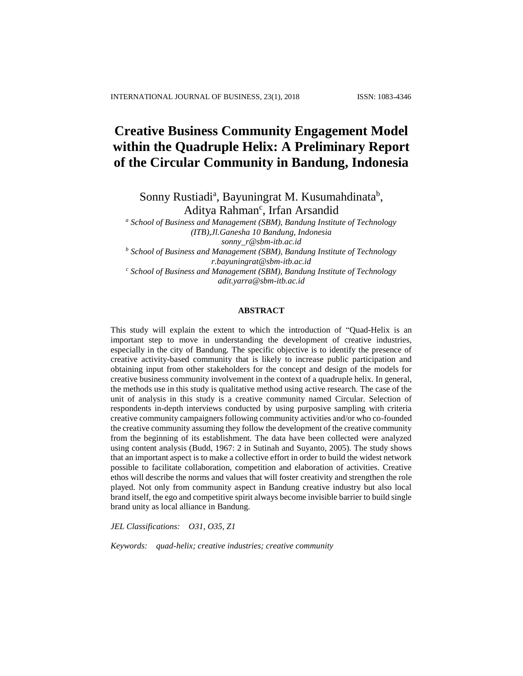# **Creative Business Community Engagement Model within the Quadruple Helix: A Preliminary Report of the Circular Community in Bandung, Indonesia**

Sonny Rustiadi<sup>a</sup>, Bayuningrat M. Kusumahdinata<sup>b</sup>, Aditya Rahman<sup>c</sup>, Irfan Arsandid

*<sup>a</sup> School of Business and Management (SBM), Bandung Institute of Technology (ITB),Jl.Ganesha 10 Bandung, Indonesia sonny\_r@sbm-itb.ac.id*

*<sup>b</sup> School of Business and Management (SBM), Bandung Institute of Technology r.bayuningrat@sbm-itb.ac.id*

*<sup>c</sup> School of Business and Management (SBM), Bandung Institute of Technology adit.yarra@sbm-itb.ac.id*

## **ABSTRACT**

This study will explain the extent to which the introduction of "Quad-Helix is an important step to move in understanding the development of creative industries, especially in the city of Bandung. The specific objective is to identify the presence of creative activity-based community that is likely to increase public participation and obtaining input from other stakeholders for the concept and design of the models for creative business community involvement in the context of a quadruple helix. In general, the methods use in this study is qualitative method using active research. The case of the unit of analysis in this study is a creative community named Circular. Selection of respondents in-depth interviews conducted by using purposive sampling with criteria creative community campaigners following community activities and/or who co-founded the creative community assuming they follow the development of the creative community from the beginning of its establishment. The data have been collected were analyzed using content analysis (Budd, 1967: 2 in Sutinah and Suyanto, 2005). The study shows that an important aspect is to make a collective effort in order to build the widest network possible to facilitate collaboration, competition and elaboration of activities. Creative ethos will describe the norms and values that will foster creativity and strengthen the role played. Not only from community aspect in Bandung creative industry but also local brand itself, the ego and competitive spirit always become invisible barrier to build single brand unity as local alliance in Bandung.

*JEL Classifications: O31, O35, Z1*

*Keywords: quad-helix; creative industries; creative community*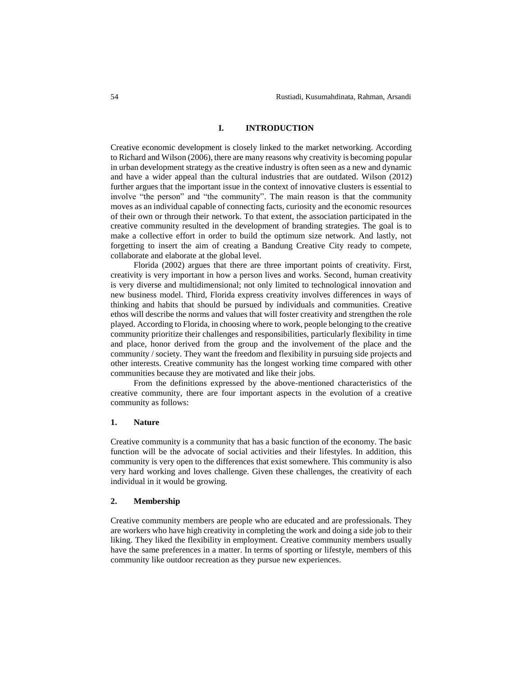#### **I. INTRODUCTION**

Creative economic development is closely linked to the market networking. According to Richard and Wilson (2006), there are many reasons why creativity is becoming popular in urban development strategy as the creative industry is often seen as a new and dynamic and have a wider appeal than the cultural industries that are outdated. Wilson (2012) further argues that the important issue in the context of innovative clusters is essential to involve "the person" and "the community". The main reason is that the community moves as an individual capable of connecting facts, curiosity and the economic resources of their own or through their network. To that extent, the association participated in the creative community resulted in the development of branding strategies. The goal is to make a collective effort in order to build the optimum size network. And lastly, not forgetting to insert the aim of creating a Bandung Creative City ready to compete, collaborate and elaborate at the global level.

Florida (2002) argues that there are three important points of creativity. First, creativity is very important in how a person lives and works. Second, human creativity is very diverse and multidimensional; not only limited to technological innovation and new business model. Third, Florida express creativity involves differences in ways of thinking and habits that should be pursued by individuals and communities. Creative ethos will describe the norms and values that will foster creativity and strengthen the role played. According to Florida, in choosing where to work, people belonging to the creative community prioritize their challenges and responsibilities, particularly flexibility in time and place, honor derived from the group and the involvement of the place and the community / society. They want the freedom and flexibility in pursuing side projects and other interests. Creative community has the longest working time compared with other communities because they are motivated and like their jobs.

From the definitions expressed by the above-mentioned characteristics of the creative community, there are four important aspects in the evolution of a creative community as follows:

## **1. Nature**

Creative community is a community that has a basic function of the economy. The basic function will be the advocate of social activities and their lifestyles. In addition, this community is very open to the differences that exist somewhere. This community is also very hard working and loves challenge. Given these challenges, the creativity of each individual in it would be growing.

## **2. Membership**

Creative community members are people who are educated and are professionals. They are workers who have high creativity in completing the work and doing a side job to their liking. They liked the flexibility in employment. Creative community members usually have the same preferences in a matter. In terms of sporting or lifestyle, members of this community like outdoor recreation as they pursue new experiences.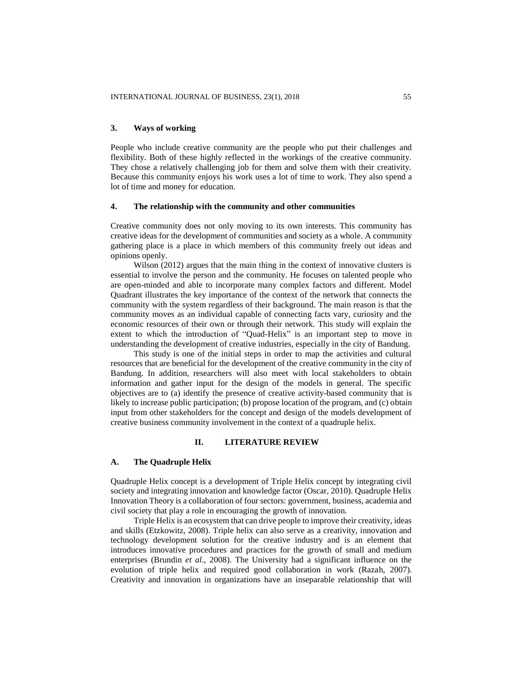## **3. Ways of working**

People who include creative community are the people who put their challenges and flexibility. Both of these highly reflected in the workings of the creative community. They chose a relatively challenging job for them and solve them with their creativity. Because this community enjoys his work uses a lot of time to work. They also spend a lot of time and money for education.

## **4. The relationship with the community and other communities**

Creative community does not only moving to its own interests. This community has creative ideas for the development of communities and society as a whole. A community gathering place is a place in which members of this community freely out ideas and opinions openly.

Wilson (2012) argues that the main thing in the context of innovative clusters is essential to involve the person and the community. He focuses on talented people who are open-minded and able to incorporate many complex factors and different. Model Quadrant illustrates the key importance of the context of the network that connects the community with the system regardless of their background. The main reason is that the community moves as an individual capable of connecting facts vary, curiosity and the economic resources of their own or through their network. This study will explain the extent to which the introduction of "Quad-Helix" is an important step to move in understanding the development of creative industries, especially in the city of Bandung.

This study is one of the initial steps in order to map the activities and cultural resources that are beneficial for the development of the creative community in the city of Bandung. In addition, researchers will also meet with local stakeholders to obtain information and gather input for the design of the models in general. The specific objectives are to (a) identify the presence of creative activity-based community that is likely to increase public participation; (b) propose location of the program, and (c) obtain input from other stakeholders for the concept and design of the models development of creative business community involvement in the context of a quadruple helix.

# **II. LITERATURE REVIEW**

## **A. The Quadruple Helix**

Quadruple Helix concept is a development of Triple Helix concept by integrating civil society and integrating innovation and knowledge factor (Oscar, 2010). Quadruple Helix Innovation Theory is a collaboration of four sectors: government, business, academia and civil society that play a role in encouraging the growth of innovation.

Triple Helix is an ecosystem that can drive people to improve their creativity, ideas and skills (Etzkowitz, 2008). Triple helix can also serve as a creativity, innovation and technology development solution for the creative industry and is an element that introduces innovative procedures and practices for the growth of small and medium enterprises (Brundin *et al*., 2008). The University had a significant influence on the evolution of triple helix and required good collaboration in work (Razah, 2007). Creativity and innovation in organizations have an inseparable relationship that will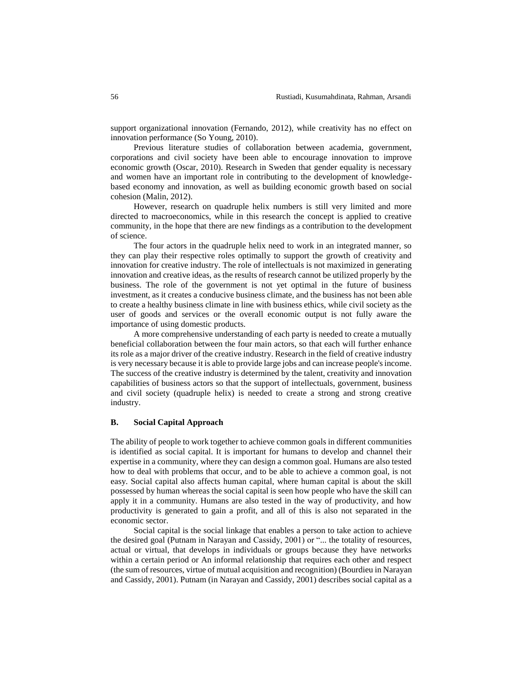support organizational innovation (Fernando, 2012), while creativity has no effect on innovation performance (So Young, 2010).

Previous literature studies of collaboration between academia, government, corporations and civil society have been able to encourage innovation to improve economic growth (Oscar, 2010). Research in Sweden that gender equality is necessary and women have an important role in contributing to the development of knowledgebased economy and innovation, as well as building economic growth based on social cohesion (Malin, 2012).

However, research on quadruple helix numbers is still very limited and more directed to macroeconomics, while in this research the concept is applied to creative community, in the hope that there are new findings as a contribution to the development of science.

The four actors in the quadruple helix need to work in an integrated manner, so they can play their respective roles optimally to support the growth of creativity and innovation for creative industry. The role of intellectuals is not maximized in generating innovation and creative ideas, as the results of research cannot be utilized properly by the business. The role of the government is not yet optimal in the future of business investment, as it creates a conducive business climate, and the business has not been able to create a healthy business climate in line with business ethics, while civil society as the user of goods and services or the overall economic output is not fully aware the importance of using domestic products.

A more comprehensive understanding of each party is needed to create a mutually beneficial collaboration between the four main actors, so that each will further enhance its role as a major driver of the creative industry. Research in the field of creative industry is very necessary because it is able to provide large jobs and can increase people's income. The success of the creative industry is determined by the talent, creativity and innovation capabilities of business actors so that the support of intellectuals, government, business and civil society (quadruple helix) is needed to create a strong and strong creative industry.

# **B. Social Capital Approach**

The ability of people to work together to achieve common goals in different communities is identified as social capital. It is important for humans to develop and channel their expertise in a community, where they can design a common goal. Humans are also tested how to deal with problems that occur, and to be able to achieve a common goal, is not easy. Social capital also affects human capital, where human capital is about the skill possessed by human whereas the social capital is seen how people who have the skill can apply it in a community. Humans are also tested in the way of productivity, and how productivity is generated to gain a profit, and all of this is also not separated in the economic sector.

Social capital is the social linkage that enables a person to take action to achieve the desired goal (Putnam in Narayan and Cassidy, 2001) or "... the totality of resources, actual or virtual, that develops in individuals or groups because they have networks within a certain period or An informal relationship that requires each other and respect (the sum of resources, virtue of mutual acquisition and recognition) (Bourdieu in Narayan and Cassidy, 2001). Putnam (in Narayan and Cassidy, 2001) describes social capital as a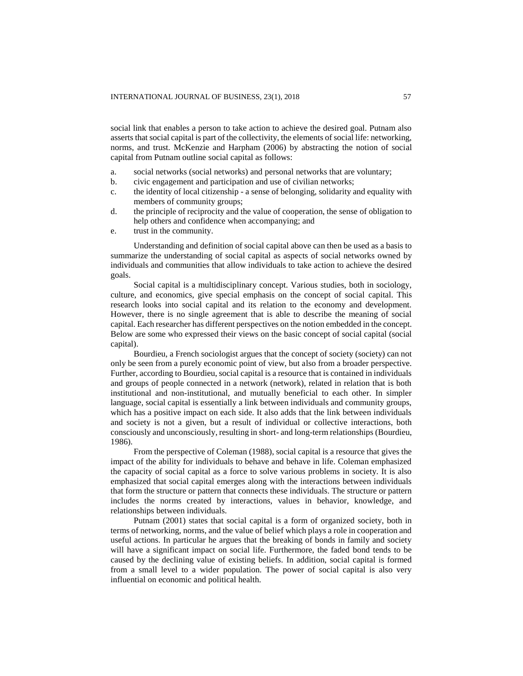social link that enables a person to take action to achieve the desired goal. Putnam also asserts that social capital is part of the collectivity, the elements of social life: networking, norms, and trust. McKenzie and Harpham (2006) by abstracting the notion of social capital from Putnam outline social capital as follows:

- a. social networks (social networks) and personal networks that are voluntary;
- b. civic engagement and participation and use of civilian networks;
- c. the identity of local citizenship a sense of belonging, solidarity and equality with members of community groups;
- d. the principle of reciprocity and the value of cooperation, the sense of obligation to help others and confidence when accompanying; and
- e. trust in the community.

Understanding and definition of social capital above can then be used as a basis to summarize the understanding of social capital as aspects of social networks owned by individuals and communities that allow individuals to take action to achieve the desired goals.

Social capital is a multidisciplinary concept. Various studies, both in sociology, culture, and economics, give special emphasis on the concept of social capital. This research looks into social capital and its relation to the economy and development. However, there is no single agreement that is able to describe the meaning of social capital. Each researcher has different perspectives on the notion embedded in the concept. Below are some who expressed their views on the basic concept of social capital (social capital).

Bourdieu, a French sociologist argues that the concept of society (society) can not only be seen from a purely economic point of view, but also from a broader perspective. Further, according to Bourdieu, social capital is a resource that is contained in individuals and groups of people connected in a network (network), related in relation that is both institutional and non-institutional, and mutually beneficial to each other. In simpler language, social capital is essentially a link between individuals and community groups, which has a positive impact on each side. It also adds that the link between individuals and society is not a given, but a result of individual or collective interactions, both consciously and unconsciously, resulting in short- and long-term relationships (Bourdieu, 1986).

From the perspective of Coleman (1988), social capital is a resource that gives the impact of the ability for individuals to behave and behave in life. Coleman emphasized the capacity of social capital as a force to solve various problems in society. It is also emphasized that social capital emerges along with the interactions between individuals that form the structure or pattern that connects these individuals. The structure or pattern includes the norms created by interactions, values in behavior, knowledge, and relationships between individuals.

Putnam (2001) states that social capital is a form of organized society, both in terms of networking, norms, and the value of belief which plays a role in cooperation and useful actions. In particular he argues that the breaking of bonds in family and society will have a significant impact on social life. Furthermore, the faded bond tends to be caused by the declining value of existing beliefs. In addition, social capital is formed from a small level to a wider population. The power of social capital is also very influential on economic and political health.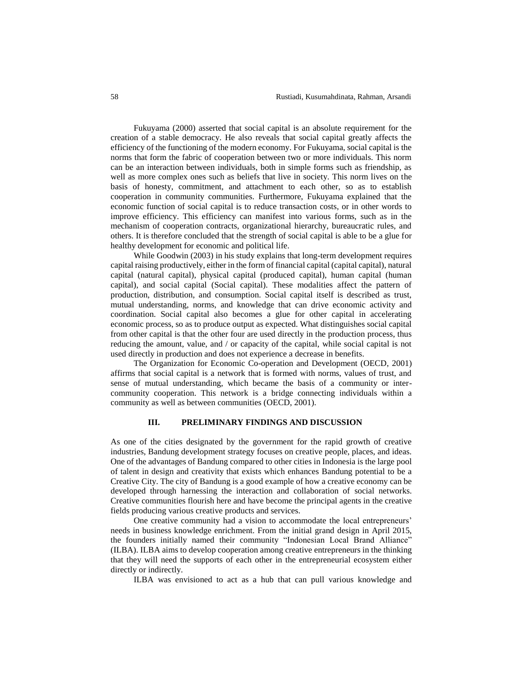Fukuyama (2000) asserted that social capital is an absolute requirement for the creation of a stable democracy. He also reveals that social capital greatly affects the efficiency of the functioning of the modern economy. For Fukuyama, social capital is the norms that form the fabric of cooperation between two or more individuals. This norm can be an interaction between individuals, both in simple forms such as friendship, as well as more complex ones such as beliefs that live in society. This norm lives on the basis of honesty, commitment, and attachment to each other, so as to establish cooperation in community communities. Furthermore, Fukuyama explained that the economic function of social capital is to reduce transaction costs, or in other words to improve efficiency. This efficiency can manifest into various forms, such as in the mechanism of cooperation contracts, organizational hierarchy, bureaucratic rules, and others. It is therefore concluded that the strength of social capital is able to be a glue for healthy development for economic and political life.

While Goodwin (2003) in his study explains that long-term development requires capital raising productively, either in the form of financial capital (capital capital), natural capital (natural capital), physical capital (produced capital), human capital (human capital), and social capital (Social capital). These modalities affect the pattern of production, distribution, and consumption. Social capital itself is described as trust, mutual understanding, norms, and knowledge that can drive economic activity and coordination. Social capital also becomes a glue for other capital in accelerating economic process, so as to produce output as expected. What distinguishes social capital from other capital is that the other four are used directly in the production process, thus reducing the amount, value, and / or capacity of the capital, while social capital is not used directly in production and does not experience a decrease in benefits.

The Organization for Economic Co-operation and Development (OECD, 2001) affirms that social capital is a network that is formed with norms, values of trust, and sense of mutual understanding, which became the basis of a community or intercommunity cooperation. This network is a bridge connecting individuals within a community as well as between communities (OECD, 2001).

# **III. PRELIMINARY FINDINGS AND DISCUSSION**

As one of the cities designated by the government for the rapid growth of creative industries, Bandung development strategy focuses on creative people, places, and ideas. One of the advantages of Bandung compared to other cities in Indonesia is the large pool of talent in design and creativity that exists which enhances Bandung potential to be a Creative City. The city of Bandung is a good example of how a creative economy can be developed through harnessing the interaction and collaboration of social networks. Creative communities flourish here and have become the principal agents in the creative fields producing various creative products and services.

One creative community had a vision to accommodate the local entrepreneurs' needs in business knowledge enrichment. From the initial grand design in April 2015, the founders initially named their community "Indonesian Local Brand Alliance" (ILBA). ILBA aims to develop cooperation among creative entrepreneurs in the thinking that they will need the supports of each other in the entrepreneurial ecosystem either directly or indirectly.

ILBA was envisioned to act as a hub that can pull various knowledge and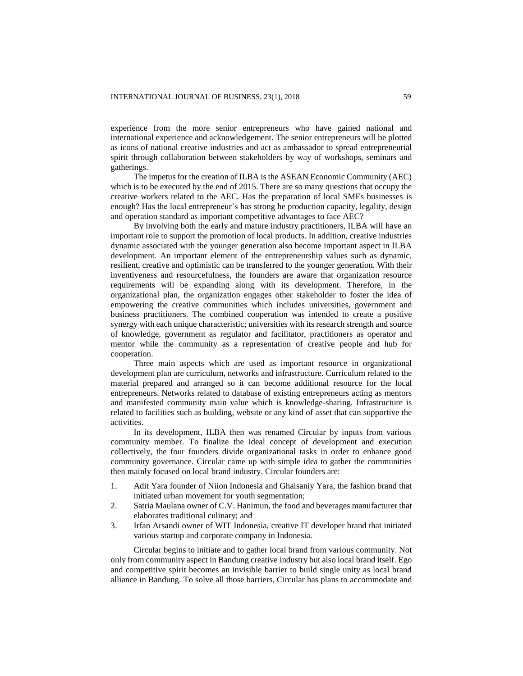experience from the more senior entrepreneurs who have gained national and international experience and acknowledgement. The senior entrepreneurs will be plotted as icons of national creative industries and act as ambassador to spread entrepreneurial spirit through collaboration between stakeholders by way of workshops, seminars and gatherings.

The impetus for the creation of ILBA is the ASEAN Economic Community (AEC) which is to be executed by the end of 2015. There are so many questions that occupy the creative workers related to the AEC. Has the preparation of local SMEs businesses is enough? Has the local entrepreneur's has strong he production capacity, legality, design and operation standard as important competitive advantages to face AEC?

By involving both the early and mature industry practitioners, ILBA will have an important role to support the promotion of local products. In addition, creative industries dynamic associated with the younger generation also become important aspect in ILBA development. An important element of the entrepreneurship values such as dynamic, resilient, creative and optimistic can be transferred to the younger generation. With their inventiveness and resourcefulness, the founders are aware that organization resource requirements will be expanding along with its development. Therefore, in the organizational plan, the organization engages other stakeholder to foster the idea of empowering the creative communities which includes universities, government and business practitioners. The combined cooperation was intended to create a positive synergy with each unique characteristic; universities with its research strength and source of knowledge, government as regulator and facilitator, practitioners as operator and mentor while the community as a representation of creative people and hub for cooperation.

Three main aspects which are used as important resource in organizational development plan are curriculum, networks and infrastructure. Curriculum related to the material prepared and arranged so it can become additional resource for the local entrepreneurs. Networks related to database of existing entrepreneurs acting as mentors and manifested community main value which is knowledge-sharing. Infrastructure is related to facilities such as building, website or any kind of asset that can supportive the activities.

In its development, ILBA then was renamed Circular by inputs from various community member. To finalize the ideal concept of development and execution collectively, the four founders divide organizational tasks in order to enhance good community governance. Circular came up with simple idea to gather the communities then mainly focused on local brand industry. Circular founders are:

- 1. Adit Yara founder of Niion Indonesia and Ghaisaniy Yara, the fashion brand that initiated urban movement for youth segmentation;
- 2. Satria Maulana owner of C.V. Hanimun, the food and beverages manufacturer that elaborates traditional culinary; and
- 3. Irfan Arsandi owner of WIT Indonesia, creative IT developer brand that initiated various startup and corporate company in Indonesia.

Circular begins to initiate and to gather local brand from various community. Not only from community aspect in Bandung creative industry but also local brand itself. Ego and competitive spirit becomes an invisible barrier to build single unity as local brand alliance in Bandung. To solve all those barriers, Circular has plans to accommodate and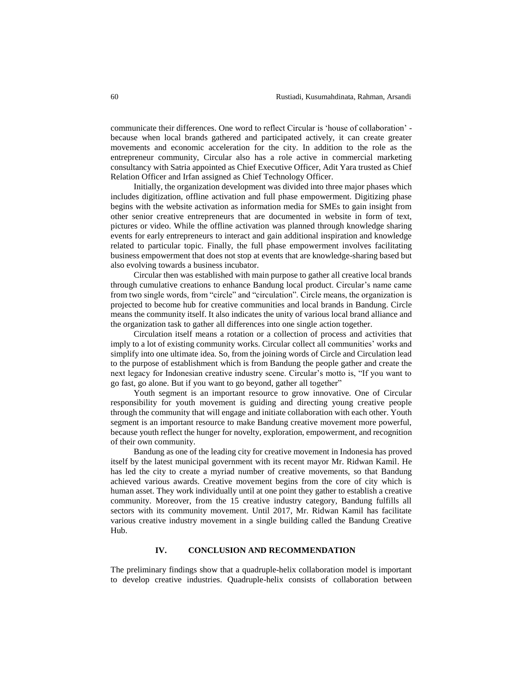communicate their differences. One word to reflect Circular is 'house of collaboration' because when local brands gathered and participated actively, it can create greater movements and economic acceleration for the city. In addition to the role as the entrepreneur community, Circular also has a role active in commercial marketing consultancy with Satria appointed as Chief Executive Officer, Adit Yara trusted as Chief Relation Officer and Irfan assigned as Chief Technology Officer.

Initially, the organization development was divided into three major phases which includes digitization, offline activation and full phase empowerment. Digitizing phase begins with the website activation as information media for SMEs to gain insight from other senior creative entrepreneurs that are documented in website in form of text, pictures or video. While the offline activation was planned through knowledge sharing events for early entrepreneurs to interact and gain additional inspiration and knowledge related to particular topic. Finally, the full phase empowerment involves facilitating business empowerment that does not stop at events that are knowledge-sharing based but also evolving towards a business incubator.

Circular then was established with main purpose to gather all creative local brands through cumulative creations to enhance Bandung local product. Circular's name came from two single words, from "circle" and "circulation". Circle means, the organization is projected to become hub for creative communities and local brands in Bandung. Circle means the community itself. It also indicates the unity of various local brand alliance and the organization task to gather all differences into one single action together.

Circulation itself means a rotation or a collection of process and activities that imply to a lot of existing community works. Circular collect all communities' works and simplify into one ultimate idea. So, from the joining words of Circle and Circulation lead to the purpose of establishment which is from Bandung the people gather and create the next legacy for Indonesian creative industry scene. Circular's motto is, "If you want to go fast, go alone. But if you want to go beyond, gather all together"

Youth segment is an important resource to grow innovative. One of Circular responsibility for youth movement is guiding and directing young creative people through the community that will engage and initiate collaboration with each other. Youth segment is an important resource to make Bandung creative movement more powerful, because youth reflect the hunger for novelty, exploration, empowerment, and recognition of their own community.

Bandung as one of the leading city for creative movement in Indonesia has proved itself by the latest municipal government with its recent mayor Mr. Ridwan Kamil. He has led the city to create a myriad number of creative movements, so that Bandung achieved various awards. Creative movement begins from the core of city which is human asset. They work individually until at one point they gather to establish a creative community. Moreover, from the 15 creative industry category, Bandung fulfills all sectors with its community movement. Until 2017, Mr. Ridwan Kamil has facilitate various creative industry movement in a single building called the Bandung Creative Hub.

# **IV. CONCLUSION AND RECOMMENDATION**

The preliminary findings show that a quadruple-helix collaboration model is important to develop creative industries. Quadruple-helix consists of collaboration between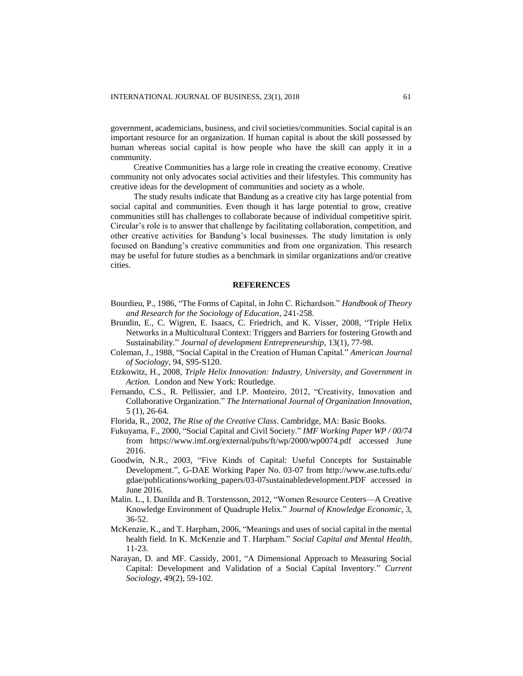government, academicians, business, and civil societies/communities. Social capital is an important resource for an organization. If human capital is about the skill possessed by human whereas social capital is how people who have the skill can apply it in a community.

Creative Communities has a large role in creating the creative economy. Creative community not only advocates social activities and their lifestyles. This community has creative ideas for the development of communities and society as a whole.

The study results indicate that Bandung as a creative city has large potential from social capital and communities. Even though it has large potential to grow, creative communities still has challenges to collaborate because of individual competitive spirit. Circular's role is to answer that challenge by facilitating collaboration, competition, and other creative activities for Bandung's local businesses. The study limitation is only focused on Bandung's creative communities and from one organization. This research may be useful for future studies as a benchmark in similar organizations and/or creative cities.

## **REFERENCES**

- Bourdieu, P., 1986, "The Forms of Capital, in John C. Richardson." *Handbook of Theory and Research for the Sociology of Education*, 241-258.
- Brundin, E., C. Wigren, E. Isaacs, C. Friedrich, and K. Visser, 2008, "Triple Helix Networks in a Multicultural Context: Triggers and Barriers for fostering Growth and Sustainability." *Journal of development Entrepreneurship*, 13(1), 77-98.
- Coleman, J., 1988, "Social Capital in the Creation of Human Capital." *American Journal of Sociology*, 94, S95-S120.
- Etzkowitz, H., 2008, *Triple Helix Innovation: Industry, University, and Government in Action.* London and New York: Routledge.
- Fernando, C.S., R. Pellissier, and I.P. Monteiro, 2012, "Creativity, Innovation and Collaborative Organization." *The International Journal of Organization Innovation*, 5 (1), 26-64.
- Florida, R., 2002, *The Rise of the Creative Class*. Cambridge, MA: Basic Books.
- Fukuyama, F., 2000, "Social Capital and Civil Society." *IMF Working Paper WP / 00/74* from <https://www.imf.org/external/pubs/ft/wp/2000/wp0074.pdf> accessed June 2016.
- Goodwin, N.R., 2003, "Five Kinds of Capital: Useful Concepts for Sustainable Development.", G-DAE Working Paper No. 03-07 from [http://www.ase.tufts.edu/](http://www.ase.tufts.edu/gdae/publications/working_papers/03-07sustainabledevelopment.PDF) [gdae/publications/working\\_papers/03-07sustainabledevelopment.PDF](http://www.ase.tufts.edu/gdae/publications/working_papers/03-07sustainabledevelopment.PDF) accessed in June 2016.
- Malin. L., I. Danilda and B. Torstensson, 2012, "Women Resource Centers—A Creative Knowledge Environment of Quadruple Helix." *Journal of Knowledge Economic*, 3, 36-52.
- McKenzie, K., and T. Harpham, 2006, "Meanings and uses of social capital in the mental health field. In K. McKenzie and T. Harpham." *Social Capital and Mental Health*, 11-23.
- Narayan, D. and MF. Cassidy, 2001, "A Dimensional Approach to Measuring Social Capital: Development and Validation of a Social Capital Inventory." *Current Sociology*, 49(2), 59-102.